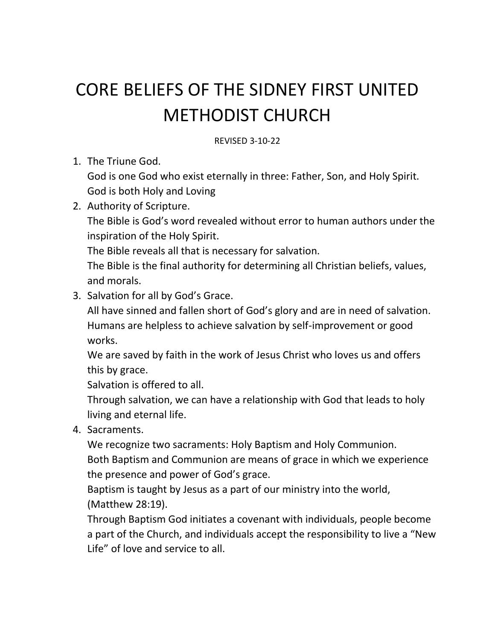## CORE BELIEFS OF THE SIDNEY FIRST UNITED METHODIST CHURCH

REVISED 3-10-22

1. The Triune God.

God is one God who exist eternally in three: Father, Son, and Holy Spirit. God is both Holy and Loving

2. Authority of Scripture.

The Bible is God's word revealed without error to human authors under the inspiration of the Holy Spirit.

The Bible reveals all that is necessary for salvation.

The Bible is the final authority for determining all Christian beliefs, values, and morals.

3. Salvation for all by God's Grace.

All have sinned and fallen short of God's glory and are in need of salvation. Humans are helpless to achieve salvation by self-improvement or good works.

We are saved by faith in the work of Jesus Christ who loves us and offers this by grace.

Salvation is offered to all.

Through salvation, we can have a relationship with God that leads to holy living and eternal life.

4. Sacraments.

We recognize two sacraments: Holy Baptism and Holy Communion. Both Baptism and Communion are means of grace in which we experience

the presence and power of God's grace.

Baptism is taught by Jesus as a part of our ministry into the world, (Matthew 28:19).

Through Baptism God initiates a covenant with individuals, people become a part of the Church, and individuals accept the responsibility to live a "New Life" of love and service to all.